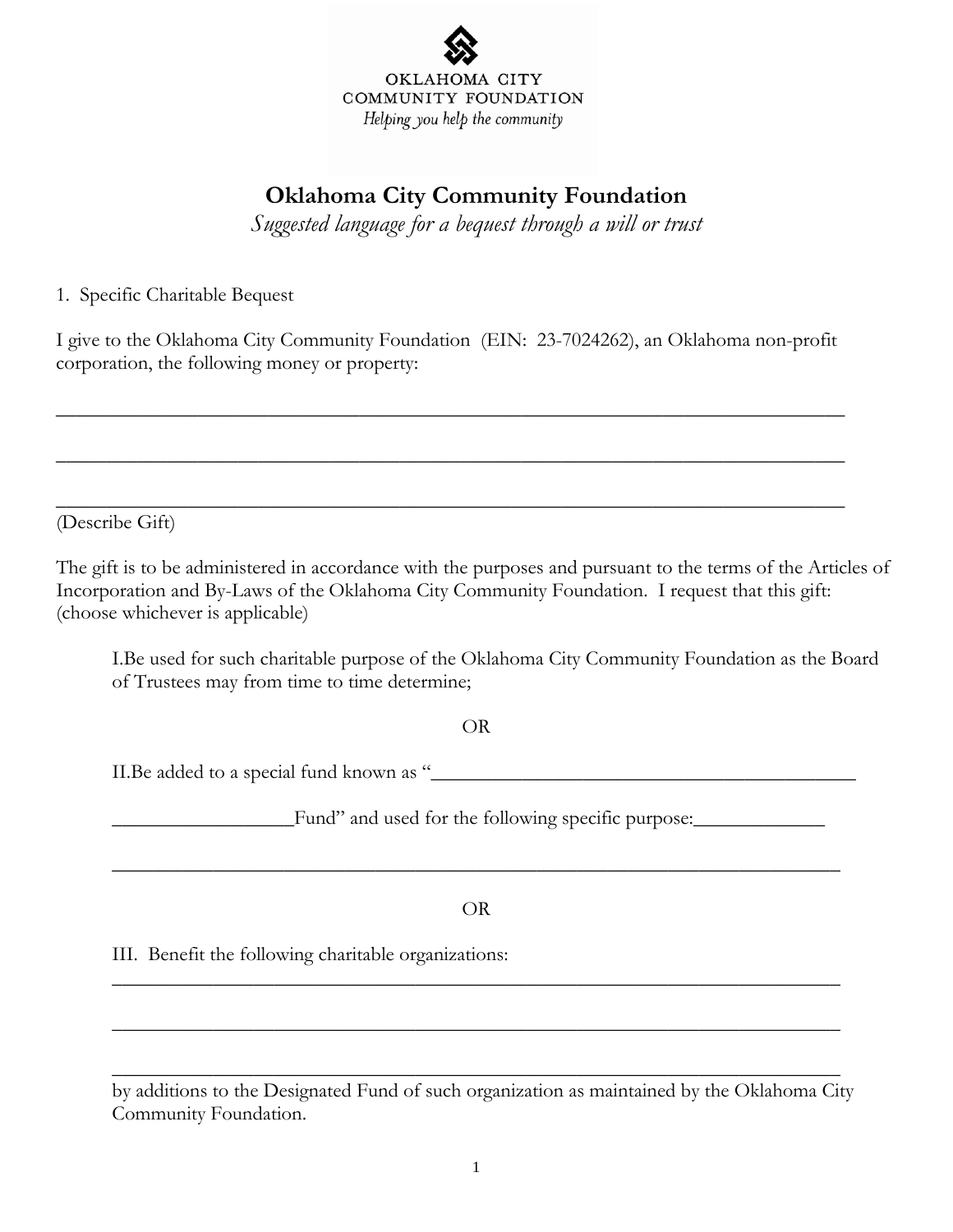

## **Oklahoma City Community Foundation**

*Suggested language for a bequest through a will or trust* 

1. Specific Charitable Bequest

I give to the Oklahoma City Community Foundation (EIN: 23-7024262), an Oklahoma non-profit corporation, the following money or property:

\_\_\_\_\_\_\_\_\_\_\_\_\_\_\_\_\_\_\_\_\_\_\_\_\_\_\_\_\_\_\_\_\_\_\_\_\_\_\_\_\_\_\_\_\_\_\_\_\_\_\_\_\_\_\_\_\_\_\_\_\_\_\_\_\_\_\_\_\_\_\_\_\_\_\_\_\_\_

\_\_\_\_\_\_\_\_\_\_\_\_\_\_\_\_\_\_\_\_\_\_\_\_\_\_\_\_\_\_\_\_\_\_\_\_\_\_\_\_\_\_\_\_\_\_\_\_\_\_\_\_\_\_\_\_\_\_\_\_\_\_\_\_\_\_\_\_\_\_\_\_\_\_\_\_\_\_

\_\_\_\_\_\_\_\_\_\_\_\_\_\_\_\_\_\_\_\_\_\_\_\_\_\_\_\_\_\_\_\_\_\_\_\_\_\_\_\_\_\_\_\_\_\_\_\_\_\_\_\_\_\_\_\_\_\_\_\_\_\_\_\_\_\_\_\_\_\_\_\_\_\_\_\_\_\_

(Describe Gift)

The gift is to be administered in accordance with the purposes and pursuant to the terms of the Articles of Incorporation and By-Laws of the Oklahoma City Community Foundation. I request that this gift: (choose whichever is applicable)

I.Be used for such charitable purpose of the Oklahoma City Community Foundation as the Board of Trustees may from time to time determine;

## OR

II.Be added to a special fund known as "\_\_\_\_\_\_\_\_\_\_\_\_\_\_\_\_\_\_\_\_\_\_\_\_\_\_\_\_\_\_\_\_\_\_\_\_\_\_\_\_\_\_

\_\_\_\_\_\_\_\_\_\_\_\_\_\_\_\_\_\_Fund" and used for the following specific purpose:\_\_\_\_\_\_\_\_\_\_\_\_\_

## OR

 $\overline{\phantom{a}}$  ,  $\overline{\phantom{a}}$  ,  $\overline{\phantom{a}}$  ,  $\overline{\phantom{a}}$  ,  $\overline{\phantom{a}}$  ,  $\overline{\phantom{a}}$  ,  $\overline{\phantom{a}}$  ,  $\overline{\phantom{a}}$  ,  $\overline{\phantom{a}}$  ,  $\overline{\phantom{a}}$  ,  $\overline{\phantom{a}}$  ,  $\overline{\phantom{a}}$  ,  $\overline{\phantom{a}}$  ,  $\overline{\phantom{a}}$  ,  $\overline{\phantom{a}}$  ,  $\overline{\phantom{a}}$ 

 $\overline{\phantom{a}}$  ,  $\overline{\phantom{a}}$  ,  $\overline{\phantom{a}}$  ,  $\overline{\phantom{a}}$  ,  $\overline{\phantom{a}}$  ,  $\overline{\phantom{a}}$  ,  $\overline{\phantom{a}}$  ,  $\overline{\phantom{a}}$  ,  $\overline{\phantom{a}}$  ,  $\overline{\phantom{a}}$  ,  $\overline{\phantom{a}}$  ,  $\overline{\phantom{a}}$  ,  $\overline{\phantom{a}}$  ,  $\overline{\phantom{a}}$  ,  $\overline{\phantom{a}}$  ,  $\overline{\phantom{a}}$ 

 $\overline{\phantom{a}}$  ,  $\overline{\phantom{a}}$  ,  $\overline{\phantom{a}}$  ,  $\overline{\phantom{a}}$  ,  $\overline{\phantom{a}}$  ,  $\overline{\phantom{a}}$  ,  $\overline{\phantom{a}}$  ,  $\overline{\phantom{a}}$  ,  $\overline{\phantom{a}}$  ,  $\overline{\phantom{a}}$  ,  $\overline{\phantom{a}}$  ,  $\overline{\phantom{a}}$  ,  $\overline{\phantom{a}}$  ,  $\overline{\phantom{a}}$  ,  $\overline{\phantom{a}}$  ,  $\overline{\phantom{a}}$ 

 $\overline{\phantom{a}}$  ,  $\overline{\phantom{a}}$  ,  $\overline{\phantom{a}}$  ,  $\overline{\phantom{a}}$  ,  $\overline{\phantom{a}}$  ,  $\overline{\phantom{a}}$  ,  $\overline{\phantom{a}}$  ,  $\overline{\phantom{a}}$  ,  $\overline{\phantom{a}}$  ,  $\overline{\phantom{a}}$  ,  $\overline{\phantom{a}}$  ,  $\overline{\phantom{a}}$  ,  $\overline{\phantom{a}}$  ,  $\overline{\phantom{a}}$  ,  $\overline{\phantom{a}}$  ,  $\overline{\phantom{a}}$ 

III. Benefit the following charitable organizations:

by additions to the Designated Fund of such organization as maintained by the Oklahoma City Community Foundation.